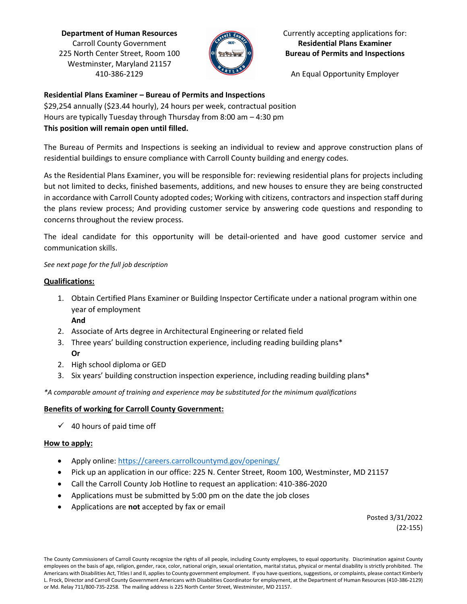**Department of Human Resources** Carroll County Government 225 North Center Street, Room 100 Westminster, Maryland 21157 410-386-2129



# Currently accepting applications for: **Residential Plans Examiner Bureau of Permits and Inspections**

An Equal Opportunity Employer

# **Residential Plans Examiner – Bureau of Permits and Inspections**

\$29,254 annually (\$23.44 hourly), 24 hours per week, contractual position Hours are typically Tuesday through Thursday from 8:00 am – 4:30 pm **This position will remain open until filled.**

The Bureau of Permits and Inspections is seeking an individual to review and approve construction plans of residential buildings to ensure compliance with Carroll County building and energy codes.

As the Residential Plans Examiner, you will be responsible for: reviewing residential plans for projects including but not limited to decks, finished basements, additions, and new houses to ensure they are being constructed in accordance with Carroll County adopted codes; Working with citizens, contractors and inspection staff during the plans review process; And providing customer service by answering code questions and responding to concerns throughout the review process.

The ideal candidate for this opportunity will be detail-oriented and have good customer service and communication skills.

### *See next page for the full job description*

### **Qualifications:**

- 1. Obtain Certified Plans Examiner or Building Inspector Certificate under a national program within one year of employment **And**
- 2. Associate of Arts degree in Architectural Engineering or related field
- 3. Three years' building construction experience, including reading building plans\* **Or**
- 2. High school diploma or GED
- 3. Six years' building construction inspection experience, including reading building plans\*

*\*A comparable amount of training and experience may be substituted for the minimum qualifications*

# **Benefits of working for Carroll County Government:**

 $\checkmark$  40 hours of paid time off

#### **How to apply:**

- Apply online:<https://careers.carrollcountymd.gov/openings/>
- Pick up an application in our office: 225 N. Center Street, Room 100, Westminster, MD 21157
- Call the Carroll County Job Hotline to request an application: 410-386-2020
- Applications must be submitted by 5:00 pm on the date the job closes
- Applications are **not** accepted by fax or email

Posted 3/31/2022 (22-155)

The County Commissioners of Carroll County recognize the rights of all people, including County employees, to equal opportunity. Discrimination against County employees on the basis of age, religion, gender, race, color, national origin, sexual orientation, marital status, physical or mental disability is strictly prohibited. The Americans with Disabilities Act, Titles I and II, applies to County government employment. If you have questions, suggestions, or complaints, please contact Kimberly L. Frock, Director and Carroll County Government Americans with Disabilities Coordinator for employment, at the Department of Human Resources (410-386-2129) or Md. Relay 711/800-735-2258. The mailing address is 225 North Center Street, Westminster, MD 21157.